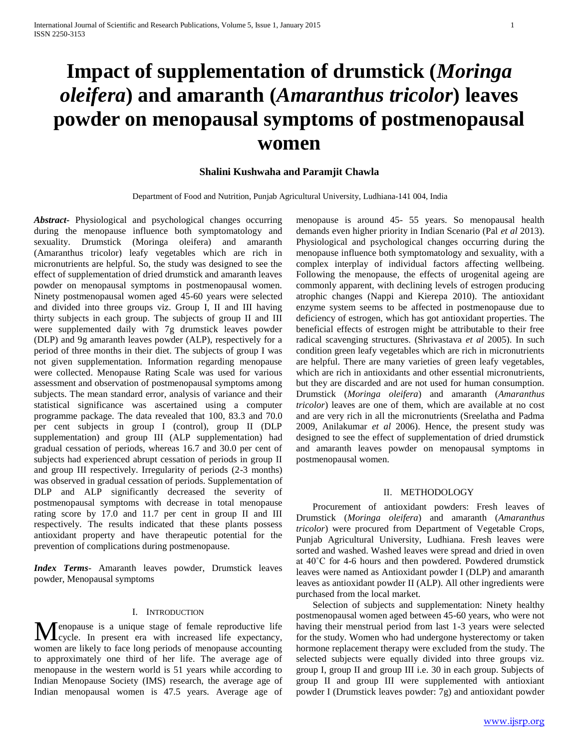# **Impact of supplementation of drumstick (***Moringa oleifera***) and amaranth (***Amaranthus tricolor***) leaves powder on menopausal symptoms of postmenopausal women**

## **Shalini Kushwaha and Paramjit Chawla**

Department of Food and Nutrition, Punjab Agricultural University, Ludhiana-141 004, India

*Abstract***-** Physiological and psychological changes occurring during the menopause influence both symptomatology and sexuality. Drumstick (Moringa oleifera) and amaranth (Amaranthus tricolor) leafy vegetables which are rich in micronutrients are helpful. So, the study was designed to see the effect of supplementation of dried drumstick and amaranth leaves powder on menopausal symptoms in postmenopausal women. Ninety postmenopausal women aged 45-60 years were selected and divided into three groups viz. Group I, II and III having thirty subjects in each group. The subjects of group II and III were supplemented daily with 7g drumstick leaves powder (DLP) and 9g amaranth leaves powder (ALP), respectively for a period of three months in their diet. The subjects of group I was not given supplementation. Information regarding menopause were collected. Menopause Rating Scale was used for various assessment and observation of postmenopausal symptoms among subjects. The mean standard error, analysis of variance and their statistical significance was ascertained using a computer programme package. The data revealed that 100, 83.3 and 70.0 per cent subjects in group I (control), group II (DLP supplementation) and group III (ALP supplementation) had gradual cessation of periods, whereas 16.7 and 30.0 per cent of subjects had experienced abrupt cessation of periods in group II and group III respectively. Irregularity of periods (2-3 months) was observed in gradual cessation of periods. Supplementation of DLP and ALP significantly decreased the severity of postmenopausal symptoms with decrease in total menopause rating score by 17.0 and 11.7 per cent in group II and III respectively. The results indicated that these plants possess antioxidant property and have therapeutic potential for the prevention of complications during postmenopause.

*Index Terms*- Amaranth leaves powder, Drumstick leaves powder, Menopausal symptoms

## I. INTRODUCTION

enopause is a unique stage of female reproductive life Menopause is a unique stage of female reproductive life expectancy,  $\mathbf{M}$  expectancy, women are likely to face long periods of menopause accounting to approximately one third of her life. The average age of menopause in the western world is 51 years while according to Indian Menopause Society (IMS) research, the average age of Indian menopausal women is 47.5 years. Average age of

menopause is around 45- 55 years. So menopausal health demands even higher priority in Indian Scenario (Pal *et al* 2013). Physiological and psychological changes occurring during the menopause influence both symptomatology and sexuality, with a complex interplay of individual factors affecting wellbeing. Following the menopause, the effects of urogenital ageing are commonly apparent, with declining levels of estrogen producing atrophic changes (Nappi and Kierepa 2010). The antioxidant enzyme system seems to be affected in postmenopause due to deficiency of estrogen, which has got antioxidant properties. The beneficial effects of estrogen might be attributable to their free radical scavenging structures. (Shrivastava *et al* 2005). In such condition green leafy vegetables which are rich in micronutrients are helpful. There are many varieties of green leafy vegetables, which are rich in antioxidants and other essential micronutrients, but they are discarded and are not used for human consumption. Drumstick (*Moringa oleifera*) and amaranth (*Amaranthus tricolor*) leaves are one of them, which are available at no cost and are very rich in all the micronutrients (Sreelatha and Padma 2009, Anilakumar *et al* 2006). Hence, the present study was designed to see the effect of supplementation of dried drumstick and amaranth leaves powder on menopausal symptoms in postmenopausal women.

## II. METHODOLOGY

 Procurement of antioxidant powders: Fresh leaves of Drumstick (*Moringa oleifera*) and amaranth (*Amaranthus tricolor*) were procured from Department of Vegetable Crops, Punjab Agricultural University, Ludhiana. Fresh leaves were sorted and washed. Washed leaves were spread and dried in oven at 40˚C for 4-6 hours and then powdered. Powdered drumstick leaves were named as Antioxidant powder I (DLP) and amaranth leaves as antioxidant powder II (ALP). All other ingredients were purchased from the local market.

 Selection of subjects and supplementation: Ninety healthy postmenopausal women aged between 45-60 years, who were not having their menstrual period from last 1-3 years were selected for the study. Women who had undergone hysterectomy or taken hormone replacement therapy were excluded from the study. The selected subjects were equally divided into three groups viz. group I, group II and group III i.e. 30 in each group. Subjects of group II and group III were supplemented with antioxiant powder I (Drumstick leaves powder: 7g) and antioxidant powder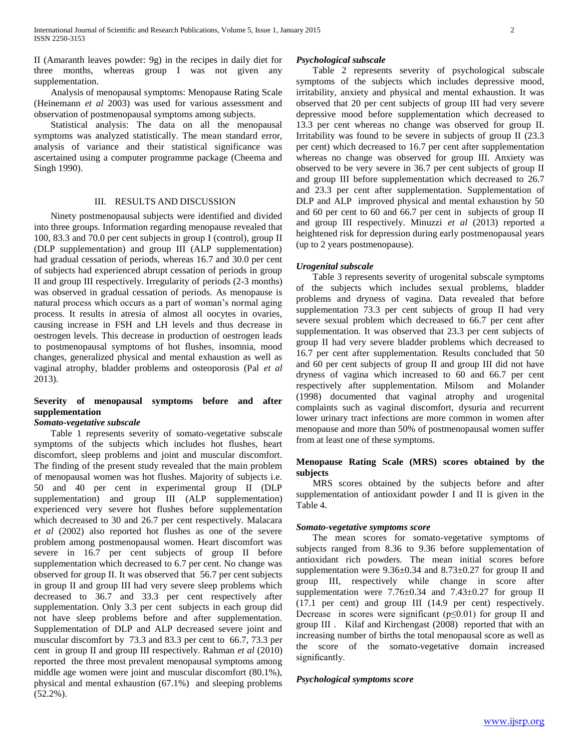II (Amaranth leaves powder: 9g) in the recipes in daily diet for three months, whereas group I was not given any supplementation.

 Analysis of menopausal symptoms: Menopause Rating Scale (Heinemann *et al* 2003) was used for various assessment and observation of postmenopausal symptoms among subjects.

 Statistical analysis: The data on all the menopausal symptoms was analyzed statistically. The mean standard error, analysis of variance and their statistical significance was ascertained using a computer programme package (Cheema and Singh 1990).

## III. RESULTS AND DISCUSSION

 Ninety postmenopausal subjects were identified and divided into three groups. Information regarding menopause revealed that 100, 83.3 and 70.0 per cent subjects in group I (control), group II (DLP supplementation) and group III (ALP supplementation) had gradual cessation of periods, whereas 16.7 and 30.0 per cent of subjects had experienced abrupt cessation of periods in group II and group III respectively. Irregularity of periods (2-3 months) was observed in gradual cessation of periods. As menopause is natural process which occurs as a part of woman's normal aging process. It results in atresia of almost all oocytes in ovaries, causing increase in FSH and LH levels and thus decrease in oestrogen levels. This decrease in production of oestrogen leads to postmenopausal symptoms of hot flushes, insomnia, mood changes, generalized physical and mental exhaustion as well as vaginal atrophy, bladder problems and osteoporosis (Pal *et al* 2013).

## **Severity of menopausal symptoms before and after supplementation**

## *Somato-vegetative subscale*

 Table 1 represents severity of somato-vegetative subscale symptoms of the subjects which includes hot flushes, heart discomfort, sleep problems and joint and muscular discomfort. The finding of the present study revealed that the main problem of menopausal women was hot flushes. Majority of subjects i.e. 50 and 40 per cent in experimental group II (DLP supplementation) and group III (ALP supplementation) experienced very severe hot flushes before supplementation which decreased to 30 and 26.7 per cent respectively. Malacara *et al* (2002) also reported hot flushes as one of the severe problem among postmenopausal women. Heart discomfort was severe in 16.7 per cent subjects of group II before supplementation which decreased to 6.7 per cent. No change was observed for group II. It was observed that 56.7 per cent subjects in group II and group III had very severe sleep problems which decreased to 36.7 and 33.3 per cent respectively after supplementation. Only 3.3 per cent subjects in each group did not have sleep problems before and after supplementation. Supplementation of DLP and ALP decreased severe joint and muscular discomfort by 73.3 and 83.3 per cent to 66.7, 73.3 per cent in group II and group III respectively. Rahman *et al* (2010) reported the three most prevalent menopausal symptoms among middle age women were joint and muscular discomfort (80.1%), physical and mental exhaustion (67.1%) and sleeping problems (52.2%).

## *Psychological subscale*

 Table 2 represents severity of psychological subscale symptoms of the subjects which includes depressive mood, irritability, anxiety and physical and mental exhaustion. It was observed that 20 per cent subjects of group III had very severe depressive mood before supplementation which decreased to 13.3 per cent whereas no change was observed for group II. Irritability was found to be severe in subjects of group II (23.3 per cent) which decreased to 16.7 per cent after supplementation whereas no change was observed for group III. Anxiety was observed to be very severe in 36.7 per cent subjects of group II and group III before supplementation which decreased to 26.7 and 23.3 per cent after supplementation. Supplementation of DLP and ALP improved physical and mental exhaustion by 50 and 60 per cent to 60 and 66.7 per cent in subjects of group II and group III respectively. Minuzzi *et al* (2013) reported a heightened risk for depression during early postmenopausal years (up to 2 years postmenopause).

## *Urogenital subscale*

 Table 3 represents severity of urogenital subscale symptoms of the subjects which includes sexual problems, bladder problems and dryness of vagina. Data revealed that before supplementation 73.3 per cent subjects of group II had very severe sexual problem which decreased to 66.7 per cent after supplementation. It was observed that 23.3 per cent subjects of group II had very severe bladder problems which decreased to 16.7 per cent after supplementation. Results concluded that 50 and 60 per cent subjects of group II and group III did not have dryness of vagina which increased to 60 and 66.7 per cent respectively after supplementation. Milsom and Molander (1998) documented that vaginal atrophy and urogenital complaints such as vaginal discomfort, dysuria and recurrent lower urinary tract infections are more common in women after menopause and more than 50% of postmenopausal women suffer from at least one of these symptoms.

## **Menopause Rating Scale (MRS) scores obtained by the subjects**

 MRS scores obtained by the subjects before and after supplementation of antioxidant powder I and II is given in the Table 4.

## *Somato-vegetative symptoms score*

 The mean scores for somato-vegetative symptoms of subjects ranged from 8.36 to 9.36 before supplementation of antioxidant rich powders. The mean initial scores before supplementation were  $9.36 \pm 0.34$  and  $8.73 \pm 0.27$  for group II and group III, respectively while change in score after supplementation were  $7.76 \pm 0.34$  and  $7.43 \pm 0.27$  for group II (17.1 per cent) and group III (14.9 per cent) respectively. Decrease in scores were significant ( $p \le 0.01$ ) for group II and group III . Kilaf and Kirchengast (2008) reported that with an increasing number of births the total menopausal score as well as the score of the somato-vegetative domain increased significantly.

## *Psychological symptoms score*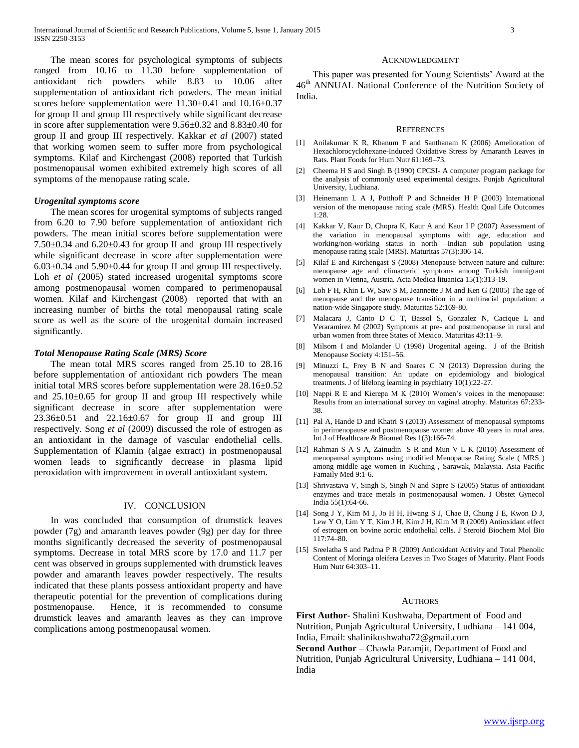The mean scores for psychological symptoms of subjects ranged from 10.16 to 11.30 before supplementation of antioxidant rich powders while 8.83 to 10.06 after supplementation of antioxidant rich powders. The mean initial scores before supplementation were 11.30±0.41 and 10.16±0.37 for group II and group III respectively while significant decrease in score after supplementation were 9.56±0.32 and 8.83±0.40 for group II and group III respectively. Kakkar *et al* (2007) stated that working women seem to suffer more from psychological symptoms. Kilaf and Kirchengast (2008) reported that Turkish postmenopausal women exhibited extremely high scores of all symptoms of the menopause rating scale.

## *Urogenital symptoms score*

 The mean scores for urogenital symptoms of subjects ranged from 6.20 to 7.90 before supplementation of antioxidant rich powders. The mean initial scores before supplementation were 7.50±0.34 and 6.20±0.43 for group II and group III respectively while significant decrease in score after supplementation were  $6.03\pm0.34$  and  $5.90\pm0.44$  for group II and group III respectively. Loh *et al* (2005) stated increased urogenital symptoms score among postmenopausal women compared to perimenopausal women. Kilaf and Kirchengast (2008) reported that with an increasing number of births the total menopausal rating scale score as well as the score of the urogenital domain increased significantly.

## *Total Menopause Rating Scale (MRS) Score*

 The mean total MRS scores ranged from 25.10 to 28.16 before supplementation of antioxidant rich powders The mean initial total MRS scores before supplementation were 28.16±0.52 and 25.10±0.65 for group II and group III respectively while significant decrease in score after supplementation were  $23.36\pm0.51$  and  $22.16\pm0.67$  for group II and group III respectively. Song *et al* (2009) discussed the role of estrogen as an antioxidant in the damage of vascular endothelial cells. Supplementation of Klamin (algae extract) in postmenopausal women leads to significantly decrease in plasma lipid peroxidation with improvement in overall antioxidant system.

#### IV. CONCLUSION

 In was concluded that consumption of drumstick leaves powder (7g) and amaranth leaves powder (9g) per day for three months significantly decreased the severity of postmenopausal symptoms. Decrease in total MRS score by 17.0 and 11.7 per cent was observed in groups supplemented with drumstick leaves powder and amaranth leaves powder respectively. The results indicated that these plants possess antioxidant property and have therapeutic potential for the prevention of complications during postmenopause. Hence, it is recommended to consume drumstick leaves and amaranth leaves as they can improve complications among postmenopausal women.

#### ACKNOWLEDGMENT

 This paper was presented for Young Scientists' Award at the 46<sup>th</sup> ANNUAL National Conference of the Nutrition Society of India.

#### **REFERENCES**

- [1] Anilakumar K R, Khanum F and Santhanam K (2006) Amelioration of Hexachlorocyclohexane-Induced Oxidative Stress by Amaranth Leaves in Rats. Plant Foods for Hum Nutr 61:169–73.
- [2] Cheema H S and Singh B (1990) CPCSI- A computer program package for the analysis of commonly used experimental designs. Punjab Agricultural University, Ludhiana.
- [3] Heinemann L A J, Potthoff P and Schneider H P (2003) International version of the menopause rating scale (MRS). Health Qual Life Outcomes 1:28.
- [4] Kakkar V, Kaur D, Chopra K, Kaur A and Kaur I P (2007) Assessment of the variation in menopausal symptoms with age, education and working/non-working status in north –Indian sub population using menopause rating scale (MRS). Maturitas 57(3):306-14.
- [5] Kilaf E and Kirchengast S (2008) Menopause between nature and culture: menopause age and climacteric symptoms among Turkish immigrant women in Vienna, Austria. Acta Medica lituanica 15(1):313-19.
- [6] Loh F H, Khin L W, Saw S M, Jeannette J M and Ken G (2005) The age of menopause and the menopause transition in a multiracial population: a nation-wide Singapore study. Maturitas 52:169-80.
- [7] Malacara J, Canto D C T, Bassol S, Gonzalez N, Cacique L and Veraramirez M (2002) Symptoms at pre- and postmenopause in rural and urban women from three States of Mexico. Maturitas 43:11–9.
- [8] Milsom I and Molander U (1998) Urogenital ageing. J of the British Menopause Society 4:151–56.
- [9] Minuzzi L, Frey B N and Soares C N (2013) Depression during the menopausal transition: An update on epidemiology and biological treatments. J of lifelong learning in psychiatry 10(1):22-27.
- [10] Nappi R E and Kierepa M K (2010) Women's voices in the menopause: Results from an international survey on vaginal atrophy. Maturitas 67:233- 38.
- [11] Pal A, Hande D and Khatri S (2013) Assessment of menopausal symptoms in perimenopause and postmenopause women above 40 years in rural area. Int J of Healthcare & Biomed Res 1(3):166-74.
- [12] Rahman S A S A, Zainudin S R and Mun V L K (2010) Assessment of menopausal symptoms using modified Menopause Rating Scale ( MRS ) among middle age women in Kuching , Sarawak, Malaysia. Asia Pacific Famaily Med 9:1-6.
- [13] Shrivastava V, Singh S, Singh N and Sapre S (2005) Status of antioxidant enzymes and trace metals in postmenopausal women. J Obstet Gynecol India 55(1):64-66.
- [14] Song J Y, Kim M J, Jo H H, Hwang S J, Chae B, Chung J E, Kwon D J, Lew Y O, Lim Y T, Kim J H, Kim J H, Kim M R (2009) Antioxidant effect of estrogen on bovine aortic endothelial cells. J Steroid Biochem Mol Bio 117:74–80.
- [15] Sreelatha S and Padma P R (2009) Antioxidant Activity and Total Phenolic Content of Moringa oleifera Leaves in Two Stages of Maturity. Plant Foods Hum Nutr 64:303–11.

#### AUTHORS

**First Author-** Shalini Kushwaha, Department of Food and Nutrition, Punjab Agricultural University, Ludhiana – 141 004, India, Email: shalinikushwaha72@gmail.com

**Second Author –** Chawla Paramjit, Department of Food and Nutrition, Punjab Agricultural University, Ludhiana – 141 004, India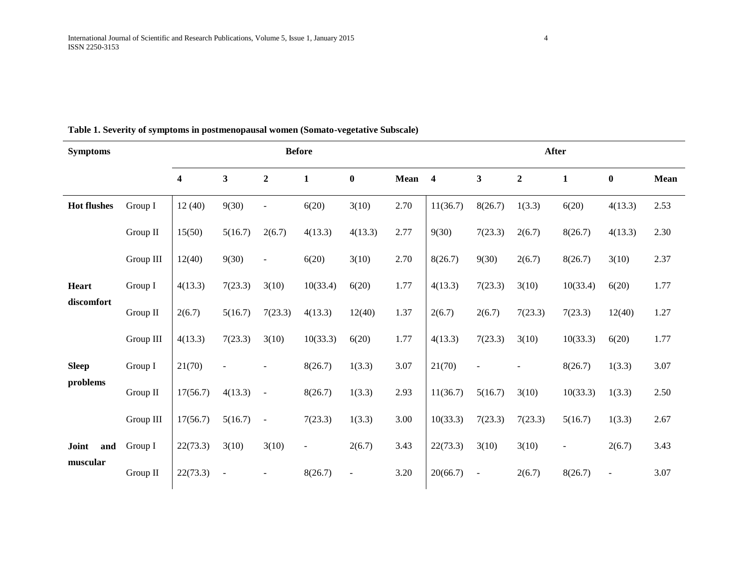| <b>Symptoms</b>          |           |                         |                          |                | <b>Before</b>            |          |             |                         |                          |                | After          |                          |             |
|--------------------------|-----------|-------------------------|--------------------------|----------------|--------------------------|----------|-------------|-------------------------|--------------------------|----------------|----------------|--------------------------|-------------|
|                          |           | $\overline{\mathbf{4}}$ | $\mathbf{3}$             | $\overline{2}$ | $\mathbf{1}$             | $\bf{0}$ | <b>Mean</b> | $\overline{\mathbf{4}}$ | $\overline{\mathbf{3}}$  | $\overline{2}$ | $\mathbf{1}$   | $\bf{0}$                 | <b>Mean</b> |
| <b>Hot flushes</b>       | Group I   | 12(40)                  | 9(30)                    | $\blacksquare$ | 6(20)                    | 3(10)    | 2.70        | 11(36.7)                | 8(26.7)                  | 1(3.3)         | 6(20)          | 4(13.3)                  | 2.53        |
|                          | Group II  | 15(50)                  | 5(16.7)                  | 2(6.7)         | 4(13.3)                  | 4(13.3)  | 2.77        | 9(30)                   | 7(23.3)                  | 2(6.7)         | 8(26.7)        | 4(13.3)                  | 2.30        |
|                          | Group III | 12(40)                  | 9(30)                    | $\blacksquare$ | 6(20)                    | 3(10)    | 2.70        | 8(26.7)                 | 9(30)                    | 2(6.7)         | 8(26.7)        | 3(10)                    | 2.37        |
| Heart                    | Group I   | 4(13.3)                 | 7(23.3)                  | 3(10)          | 10(33.4)                 | 6(20)    | 1.77        | 4(13.3)                 | 7(23.3)                  | 3(10)          | 10(33.4)       | 6(20)                    | 1.77        |
| discomfort               | Group II  | 2(6.7)                  | 5(16.7)                  | 7(23.3)        | 4(13.3)                  | 12(40)   | 1.37        | 2(6.7)                  | 2(6.7)                   | 7(23.3)        | 7(23.3)        | 12(40)                   | 1.27        |
|                          | Group III | 4(13.3)                 | 7(23.3)                  | 3(10)          | 10(33.3)                 | 6(20)    | 1.77        | 4(13.3)                 | 7(23.3)                  | 3(10)          | 10(33.3)       | 6(20)                    | 1.77        |
| <b>Sleep</b>             | Group I   | 21(70)                  | $\sim$                   |                | 8(26.7)                  | 1(3.3)   | 3.07        | 21(70)                  | $\overline{\phantom{a}}$ |                | 8(26.7)        | 1(3.3)                   | 3.07        |
| problems                 | Group II  | 17(56.7)                | 4(13.3)                  | $\sim$ $-$     | 8(26.7)                  | 1(3.3)   | 2.93        | 11(36.7)                | 5(16.7)                  | 3(10)          | 10(33.3)       | 1(3.3)                   | 2.50        |
|                          | Group III | 17(56.7)                | 5(16.7)                  | $\sim$ $-$     | 7(23.3)                  | 1(3.3)   | 3.00        | 10(33.3)                | 7(23.3)                  | 7(23.3)        | 5(16.7)        | 1(3.3)                   | 2.67        |
| Joint<br>and<br>muscular | Group I   | 22(73.3)                | 3(10)                    | 3(10)          | $\overline{\phantom{a}}$ | 2(6.7)   | 3.43        | 22(73.3)                | 3(10)                    | 3(10)          | $\overline{a}$ | 2(6.7)                   | 3.43        |
|                          | Group II  | 22(73.3)                | $\overline{\phantom{a}}$ |                | 8(26.7)                  | $\sim$   | 3.20        | 20(66.7)                | $\blacksquare$           | 2(6.7)         | 8(26.7)        | $\overline{\phantom{a}}$ | 3.07        |

# **Table 1. Severity of symptoms in postmenopausal women (Somato-vegetative Subscale)**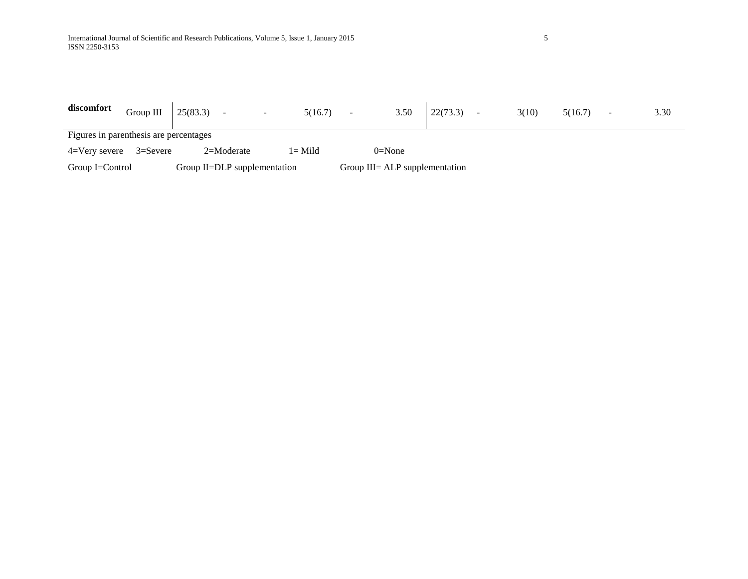| discomfort                             | Group III    | 25(83.3)                     | 5(16.7)<br>$\overline{\phantom{a}}$ | 3.50                           | 22(73.3) | 3(10) | 5(16.7) | 3.30 |  |
|----------------------------------------|--------------|------------------------------|-------------------------------------|--------------------------------|----------|-------|---------|------|--|
| Figures in parenthesis are percentages |              |                              |                                     |                                |          |       |         |      |  |
| $4=$ Very severe                       | $3 =$ Severe | $2=$ Moderate                | l= Mild                             | $0 = None$                     |          |       |         |      |  |
| Group I=Control                        |              | Group II=DLP supplementation |                                     | Group III= ALP supplementation |          |       |         |      |  |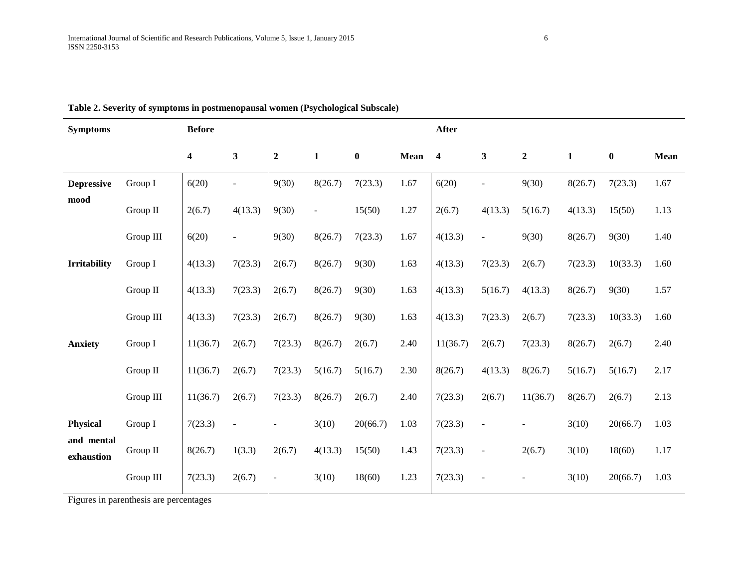| <b>Symptoms</b>                             |           | <b>Before</b>           |                          |                          |                          |           |      | <b>After</b>            |                          |                  |              |          |             |
|---------------------------------------------|-----------|-------------------------|--------------------------|--------------------------|--------------------------|-----------|------|-------------------------|--------------------------|------------------|--------------|----------|-------------|
|                                             |           | $\overline{\mathbf{4}}$ | $\mathbf{3}$             | $\mathbf 2$              | $\mathbf{1}$             | $\pmb{0}$ | Mean | $\overline{\mathbf{4}}$ | $\mathbf{3}$             | $\boldsymbol{2}$ | $\mathbf{1}$ | $\bf{0}$ | <b>Mean</b> |
| <b>Depressive</b>                           | Group I   | 6(20)                   | $\overline{\phantom{0}}$ | 9(30)                    | 8(26.7)                  | 7(23.3)   | 1.67 | 6(20)                   | $\overline{a}$           | 9(30)            | 8(26.7)      | 7(23.3)  | 1.67        |
| mood                                        | Group II  | 2(6.7)                  | 4(13.3)                  | 9(30)                    | $\overline{\phantom{a}}$ | 15(50)    | 1.27 | 2(6.7)                  | 4(13.3)                  | 5(16.7)          | 4(13.3)      | 15(50)   | 1.13        |
|                                             | Group III | 6(20)                   |                          | 9(30)                    | 8(26.7)                  | 7(23.3)   | 1.67 | 4(13.3)                 | $\overline{\phantom{a}}$ | 9(30)            | 8(26.7)      | 9(30)    | 1.40        |
| <b>Irritability</b>                         | Group I   | 4(13.3)                 | 7(23.3)                  | 2(6.7)                   | 8(26.7)                  | 9(30)     | 1.63 | 4(13.3)                 | 7(23.3)                  | 2(6.7)           | 7(23.3)      | 10(33.3) | 1.60        |
|                                             | Group II  | 4(13.3)                 | 7(23.3)                  | 2(6.7)                   | 8(26.7)                  | 9(30)     | 1.63 | 4(13.3)                 | 5(16.7)                  | 4(13.3)          | 8(26.7)      | 9(30)    | 1.57        |
|                                             | Group III | 4(13.3)                 | 7(23.3)                  | 2(6.7)                   | 8(26.7)                  | 9(30)     | 1.63 | 4(13.3)                 | 7(23.3)                  | 2(6.7)           | 7(23.3)      | 10(33.3) | 1.60        |
| <b>Anxiety</b>                              | Group I   | 11(36.7)                | 2(6.7)                   | 7(23.3)                  | 8(26.7)                  | 2(6.7)    | 2.40 | 11(36.7)                | 2(6.7)                   | 7(23.3)          | 8(26.7)      | 2(6.7)   | 2.40        |
|                                             | Group II  | 11(36.7)                | 2(6.7)                   | 7(23.3)                  | 5(16.7)                  | 5(16.7)   | 2.30 | 8(26.7)                 | 4(13.3)                  | 8(26.7)          | 5(16.7)      | 5(16.7)  | 2.17        |
|                                             | Group III | 11(36.7)                | 2(6.7)                   | 7(23.3)                  | 8(26.7)                  | 2(6.7)    | 2.40 | 7(23.3)                 | 2(6.7)                   | 11(36.7)         | 8(26.7)      | 2(6.7)   | 2.13        |
| <b>Physical</b><br>and mental<br>exhaustion | Group I   | 7(23.3)                 | $\blacksquare$           | $\blacksquare$           | 3(10)                    | 20(66.7)  | 1.03 | 7(23.3)                 | $\blacksquare$           | $\overline{a}$   | 3(10)        | 20(66.7) | 1.03        |
|                                             | Group II  | 8(26.7)                 | 1(3.3)                   | 2(6.7)                   | 4(13.3)                  | 15(50)    | 1.43 | 7(23.3)                 | $\overline{\phantom{a}}$ | 2(6.7)           | 3(10)        | 18(60)   | 1.17        |
|                                             | Group III | 7(23.3)                 | 2(6.7)                   | $\overline{\phantom{a}}$ | 3(10)                    | 18(60)    | 1.23 | 7(23.3)                 |                          |                  | 3(10)        | 20(66.7) | 1.03        |

|  |  |  | Table 2. Severity of symptoms in postmenopausal women (Psychological Subscale) |
|--|--|--|--------------------------------------------------------------------------------|
|  |  |  |                                                                                |

Figures in parenthesis are percentages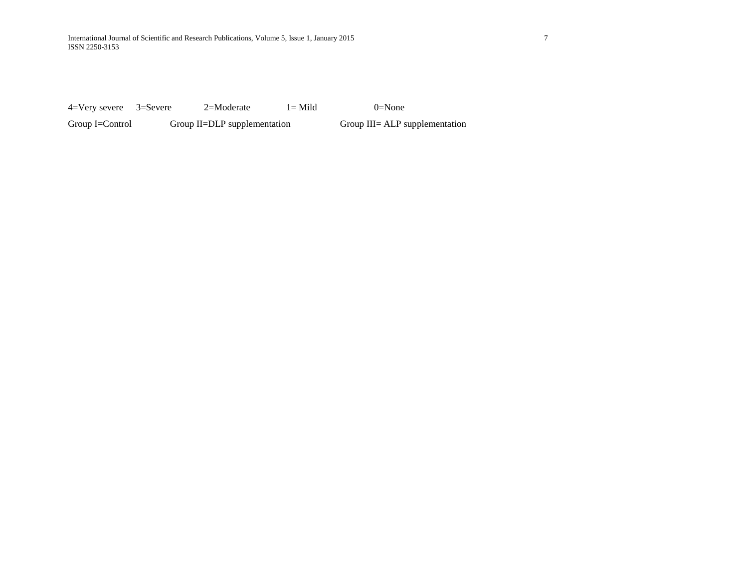4=Very severe 3=Severe 2=Moderate 1= Mild 0=None

Group I=Control Group II=DLP supplementation Group III= ALP supplementation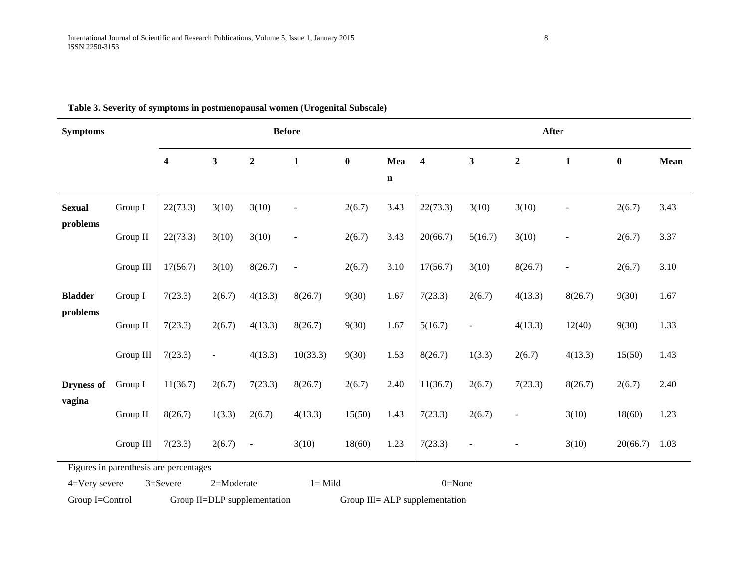| <b>Symptoms</b>   |                                        | <b>Before</b>           |                         |                |                          |          |             |                         | <b>After</b>            |                |                          |          |             |  |
|-------------------|----------------------------------------|-------------------------|-------------------------|----------------|--------------------------|----------|-------------|-------------------------|-------------------------|----------------|--------------------------|----------|-------------|--|
|                   |                                        | $\overline{\mathbf{4}}$ | $\overline{\mathbf{3}}$ | $\overline{2}$ | $\mathbf{1}$             | $\bf{0}$ | Mea         | $\overline{\mathbf{4}}$ | $\overline{\mathbf{3}}$ | $\overline{2}$ | $\mathbf{1}$             | $\bf{0}$ | <b>Mean</b> |  |
|                   |                                        |                         |                         |                |                          |          | $\mathbf n$ |                         |                         |                |                          |          |             |  |
| <b>Sexual</b>     | Group I                                | 22(73.3)                | 3(10)                   | 3(10)          | $\blacksquare$           | 2(6.7)   | 3.43        | 22(73.3)                | 3(10)                   | 3(10)          | $\overline{\phantom{a}}$ | 2(6.7)   | 3.43        |  |
| problems          | Group II                               | 22(73.3)                | 3(10)                   | 3(10)          | $\overline{\phantom{a}}$ | 2(6.7)   | 3.43        | 20(66.7)                | 5(16.7)                 | 3(10)          | ÷                        | 2(6.7)   | 3.37        |  |
|                   | Group III                              | 17(56.7)                | 3(10)                   | 8(26.7)        | $\overline{\phantom{a}}$ | 2(6.7)   | 3.10        | 17(56.7)                | 3(10)                   | 8(26.7)        | $\overline{a}$           | 2(6.7)   | 3.10        |  |
| <b>Bladder</b>    | Group I                                | 7(23.3)                 | 2(6.7)                  | 4(13.3)        | 8(26.7)                  | 9(30)    | 1.67        | 7(23.3)                 | 2(6.7)                  | 4(13.3)        | 8(26.7)                  | 9(30)    | 1.67        |  |
| problems          | Group II                               | 7(23.3)                 | 2(6.7)                  | 4(13.3)        | 8(26.7)                  | 9(30)    | 1.67        | 5(16.7)                 |                         | 4(13.3)        | 12(40)                   | 9(30)    | 1.33        |  |
|                   | Group III                              | 7(23.3)                 | $\blacksquare$          | 4(13.3)        | 10(33.3)                 | 9(30)    | 1.53        | 8(26.7)                 | 1(3.3)                  | 2(6.7)         | 4(13.3)                  | 15(50)   | 1.43        |  |
| <b>Dryness of</b> | Group I                                | 11(36.7)                | 2(6.7)                  | 7(23.3)        | 8(26.7)                  | 2(6.7)   | 2.40        | 11(36.7)                | 2(6.7)                  | 7(23.3)        | 8(26.7)                  | 2(6.7)   | 2.40        |  |
| vagina            | Group II                               | 8(26.7)                 | 1(3.3)                  | 2(6.7)         | 4(13.3)                  | 15(50)   | 1.43        | 7(23.3)                 | 2(6.7)                  | $\overline{a}$ | 3(10)                    | 18(60)   | 1.23        |  |
|                   | Group III                              | 7(23.3)                 | 2(6.7)                  |                | 3(10)                    | 18(60)   | 1.23        | 7(23.3)                 | $\blacksquare$          |                | 3(10)                    | 20(66.7) | 1.03        |  |
|                   | Figures in parenthesis are percentages |                         |                         |                |                          |          |             |                         |                         |                |                          |          |             |  |

# **Table 3. Severity of symptoms in postmenopausal women (Urogenital Subscale)**

4=Very severe 3=Severe 2=Moderate 1= Mild 0=None

Group I=Control Group II=DLP supplementation Group III= ALP supplementation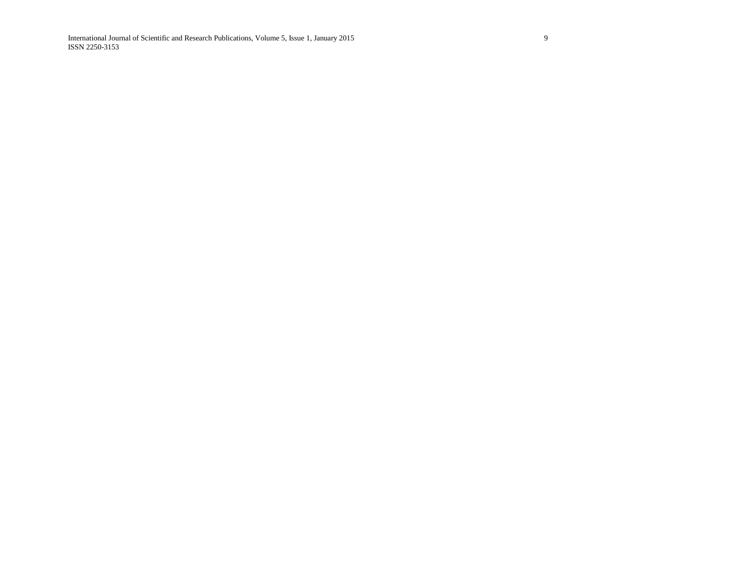International Journal of Scientific and Research Publications, Volume 5, Issue 1, January 2015 ISSN 2250 -3153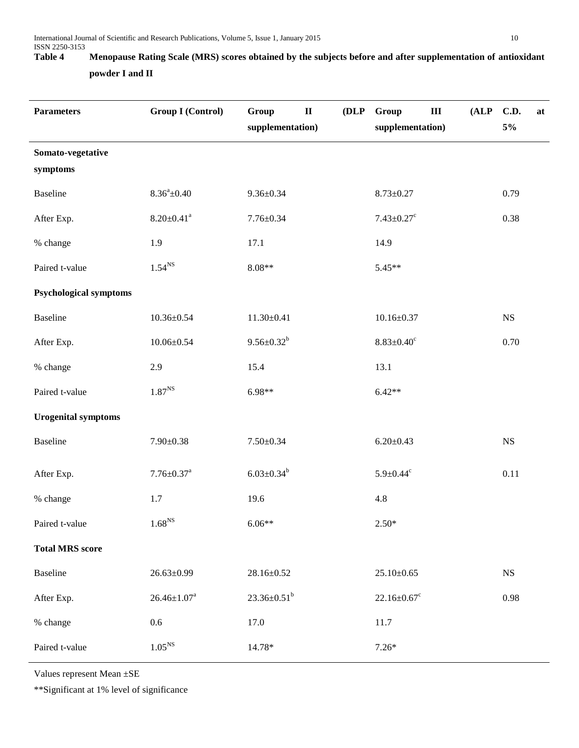| <b>Parameters</b>             | <b>Group I (Control)</b>     | Group<br>$\mathbf{I}$<br>(DLP<br>supplementation) | Group<br>III<br>(ALP)<br>supplementation) | C.D.<br>at<br>5% |
|-------------------------------|------------------------------|---------------------------------------------------|-------------------------------------------|------------------|
| Somato-vegetative             |                              |                                                   |                                           |                  |
| symptoms                      |                              |                                                   |                                           |                  |
| <b>Baseline</b>               | $8.36^a \pm 0.40$            | $9.36 \pm 0.34$                                   | $8.73 \pm 0.27$                           | 0.79             |
| After Exp.                    | $8.20 \pm 0.41$ <sup>a</sup> | $7.76 \pm 0.34$                                   | $7.43 \pm 0.27$ <sup>c</sup>              | 0.38             |
| % change                      | 1.9                          | 17.1                                              | 14.9                                      |                  |
| Paired t-value                | 1.54 <sup>NS</sup>           | $8.08**$                                          | $5.45**$                                  |                  |
| <b>Psychological symptoms</b> |                              |                                                   |                                           |                  |
| <b>Baseline</b>               | $10.36 \pm 0.54$             | $11.30 \pm 0.41$                                  | $10.16 \pm 0.37$                          | $_{\rm NS}$      |
| After Exp.                    | $10.06 \pm 0.54$             | $9.56 \pm 0.32^b$                                 | $8.83 \pm 0.40$ <sup>c</sup>              | 0.70             |
| % change                      | 2.9                          | 15.4                                              | 13.1                                      |                  |
| Paired t-value                | $1.87^{\rm NS}$              | $6.98**$                                          | $6.42**$                                  |                  |
| <b>Urogenital symptoms</b>    |                              |                                                   |                                           |                  |
| Baseline                      | $7.90 \pm 0.38$              | $7.50 \pm 0.34$                                   | $6.20 \pm 0.43$                           | $_{\rm NS}$      |
| After Exp.                    | $7.76 \pm 0.37^a$            | $6.03 \pm 0.34^b$                                 | $5.9 \pm 0.44^c$                          | 0.11             |
| % change                      | $1.7\,$                      | 19.6                                              | 4.8                                       |                  |
| Paired t-value                | 1.68 <sup>NS</sup>           | $6.06**$                                          | $2.50*$                                   |                  |
| <b>Total MRS score</b>        |                              |                                                   |                                           |                  |
| Baseline                      | $26.63 \pm 0.99$             | $28.16 \pm 0.52$                                  | $25.10 \pm 0.65$                          | $_{\rm NS}$      |
| After Exp.                    | $26.46 \pm 1.07^a$           | $23.36 \pm 0.51^b$                                | $22.16 \pm 0.67$ <sup>c</sup>             | 0.98             |
| % change                      | $0.6\,$                      | 17.0                                              | 11.7                                      |                  |
| Paired t-value                | $1.05NS$                     | 14.78*                                            | $7.26*$                                   |                  |

**Table 4 Menopause Rating Scale (MRS) scores obtained by the subjects before and after supplementation of antioxidant powder I and II**

Values represent Mean ±SE

\*\*Significant at 1% level of significance